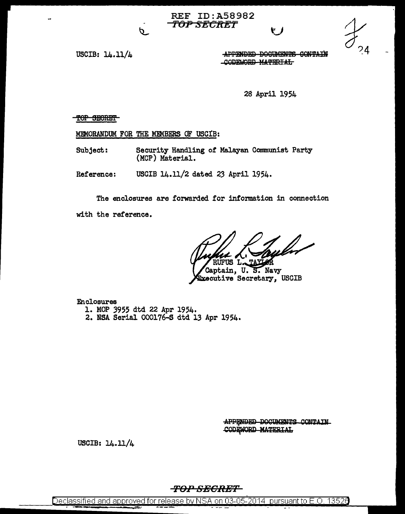**REF ID: A58982** <del>-TOP SECRET</del>



USCIB: 14.11/4

APPENDED DOCUMENTS CONTAIN CODEWORD MATERIAL

28 April 1954

TOP SECRET

MEMORANDUM FOR THE MEMBERS OF USCIB:

p.

Security Handling of Malayan Communist Party Subject: (MCP) Material.

USCIB 14.11/2 dated 23 April 1954. Reference:

The enclosures are forwarded for information in connection with the reference.

Captain, U.S. Navy<br>Executive Secretary, USCIB

**Enclosures** 1. MOP 3955 dtd 22 Apr 1954. 2. NSA Serial 000176-S dtd 13 Apr 1954.

> APPENDED DOCUMENTS CONTAIN CODEWORD MATERIAL

USCIB:  $14.11/4$ 

**TOP SECRET**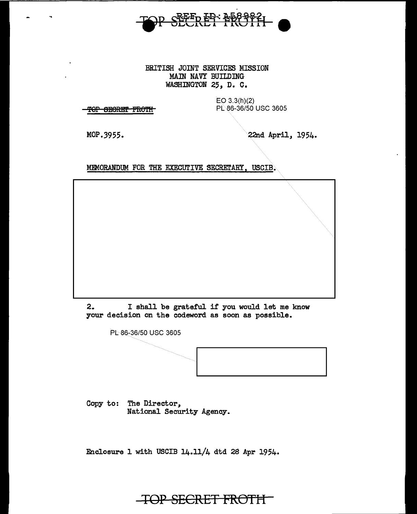

## BRITISH JOINT SERVICES MISSION MAIN NAVY BUILDING WASHINGTON 25, D. C.

**TOP SECRET FROTH** 

EO 3.3(h)(2) PL 86-36/50 USC 3605

MOP.3955.

22nd April, 1954.

MEMORANDUM FOR THE EXECUTIVE SECRETARY, USCIB.

2. I shall be grateful if you would let me know your decision on the codeword as soon as possible.

PL 86-36/50 USC 3605

Copy to: The Director, National Security Agency.

Enclosure 1 with USCIB 14.11/4 dtd 28 Apr 1954.

**TOP SECRET FROTH**